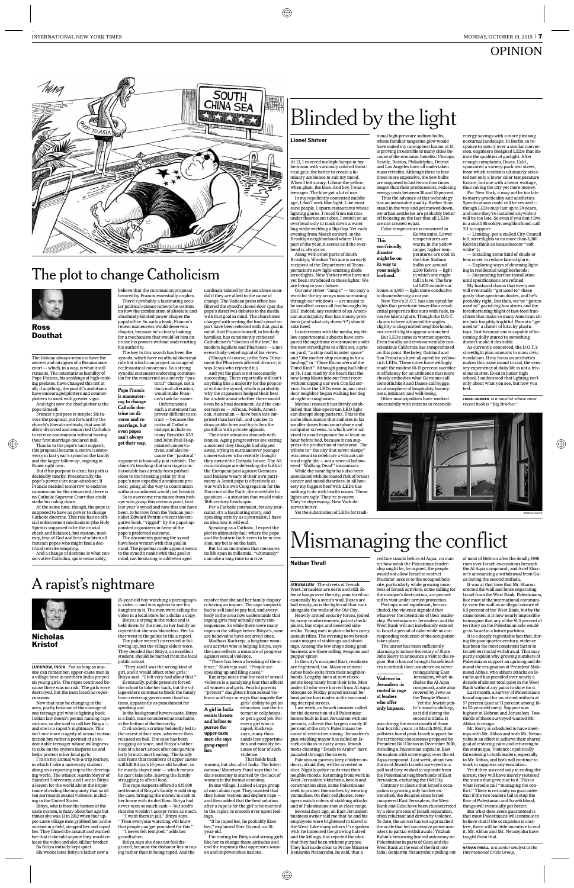. .

### Nicholas Kristof

**LUCKNOW, INDIA** For as long as anyone can remember, upper-caste men in a village here in northern India preyed on young girls. The rapes continued because there was no risk: The girls were destroyed, but the men faced no repercussions.

Now that may be changing in the area, partly because of the courage of one teenage girl who is fighting back. Indian law doesn't permit naming rape victims, so she said to call her Bitiya and she is a rapist's nightmare. This isn't one more tragedy of sexual victimization but rather a portrait of an indomitable teenager whose willingness to take on the system inspires us and helps protect other local girls.

I'm on my annual win-a-trip journey, in which I take a university student along on a reporting trip to the developing world. The winner, Austin Meyer of Stanford University, and I see in Bitiya a lesson for the world about the importance of ending the impunity that so often surrounds sexual violence, including in the United States.

Bitiya, who is from the bottom of the caste system, is fuzzy about her age but thinks she was 13 in 2012 when four upper-caste village men grabbed her as she worked in a field, stripped her and raped her. They filmed the assault and warned her that if she told anyone they would release the video and also kill her brother.

So Bitiya initially kept quiet. Six weeks later Bitiya's father saw a held down by the men, so her family accepted that she was blameless. Her father went to the police to file a report. The police weren't interested in fol-

lowing up, but the village elders were. They decided that Bitiya, an excellent student, should be barred from the local public school.

''They said I was the wrong kind of girl, and it would affect other girls,'' Bitiya said. ''I felt very bad about that.''

Eventually, public pressure forced the school to take her back, but the village elders continue to block the family from receiving government food rations, apparently as punishment for speaking out.

In the background hovers caste. Bitiya is a Dalit, once considered untouchable, at the bottom of the hierarchy.

15-year-old boy watching a pornographic video — and was aghast to see his daughter in it. The men were selling the video in a local store for a dollar a copy. Bitiya is crying in the video and is resolve that she and her family display is having an impact. The rape suspects had to sell land to pay bail, and every-

Civil society scrutiny belatedly led to the arrest of four men, who were then released on bail. The case has been dragging on since, and Bitiya's father died of a heart attack after one particularly brutal court hearing. The family also fears that members of upper castes will kill Bitiya's 16-year-old brother, so he mostly stays home — which means he can't take jobs, leaving the family struggling to afford food.

The rape suspects offered a \$15,000 settlement if Bitiya's family would drop the case, bringing the money in cash to her home with its dirt floor. Bitiya had never seen so much cash — but scoffs that she wouldn't accept twice as much.

''I want them in jail,'' Bitiya says. ''Then everyone watching will know that people can get punished for this.'' ''I never felt tempted,'' adds her

grandfather. Bitiya says she does not feel disgraced, because the dishonor lies in raping rather than in being raped. And the

body in the area now understands that raping girls may actually carry consequences. So while there were many rapes in the village before Bitiya's, none are believed to have occurred since. Madhavi Kuckreja, a longtime women's activist who is helping Bitiya, says the case reflects a measure of progress

against sexual violence. ''There has been a breaking of the si-

lence,'' Kuckreja said. ''People are speaking up and filing cases.''

Kuckreja notes that the cost of sexual violence is a paralyzing fear that affects all women and girls. Fearful parents ''protect'' daughters from sexual violence and boys in ways that impede the

women, but also all of India. The International Monetary Fund says that India's economy is stunted by the lack of women in the formal economy.

In one village, I asked a large group of men about rape. They insisted that they honor women and deplore rape and then added that the best solution after a rape is for the girl to be married to the rapist, to smooth over upset feelings.

''If he raped her, he probably likes her,'' explained Shiv Govind, an 18 year-old.

I'm rooting for Bitiya and strong girls like her to change those attitudes and end the impunity that oppresses women and impoverishes nations.

 $\bigoplus$ 

### Ross Douthat

The Vatican always seems to have the secrets and intrigues of a Renaissance court — which, in a way, is what it still remains. The ostentatious humility of Pope Francis, his scoldings of high-ranking prelates, have changed this not at all; if anything, the pontiff's ambitions have encouraged plotters and counterplotters to work with greater vigor. And right now the chief plotter is the pope himself.

Francis's purpose is simple: He favors the proposal, put forward by the church's liberal cardinals, that would allow divorced and remarried Catholics to receive communion without having their first marriage declared null.

Thanks to the pope's tacit support, this proposal became a central controversy in last year's synod on the family and the larger follow-up, ongoing in Rome right now..

But if his purpose is clear, his path is decidedly murky. Procedurally, the

pope's powers are near-absolute: If Francis decided tomorrow to endorse communion for the remarried, there is no Catholic Supreme Court that could strike his ruling down.

At the same time, though, the pope is supposed to have no power to change Catholic doctrine. This rule has no official enforcement mechanism (the Holy Spirit is supposed to be the crucial check and balance), but custom, modesty, fear of God and fear of schism all restrain popes who might find a doctrinal rewrite tempting.

And a change of doctrine is what conservative Catholics, quite reasonably,

believe that the communion proposal favored by Francis essentially implies. There's probably a fascinating secular political science tome to be written on how the combination of absolute and absolutely-limited power shapes the papal office. In such a book, Francis's recent maneuvers would deserve a chapter, because he's clearly looking for a mechanism that would let him exercise his powers without undercutting his authority. The key to this search has been the

synods, which have no official doctrinal role but which can project an image of ecclesiastical consensus. So a strong synodal statement endorsing communion for the remarried as a merely ''pas-

> pointed conservatives, and also be-

cause the ''pastoral'' argument is basically just rubbish. The church's teaching that marriage is indissoluble has already been pushed close to the breaking point by this pope's new expedited annulment process; going all the way to communion without annulment would just break it. So to overcome resistance from bishops who grasp this obvious point, first last year's synod and now this one have been, to borrow from the Vatican journalist Edward Pentin's recent investigative book, ''rigged'' by the papal-appointed organizers in favor of the pope's preferred outcome. The documents guiding the synod have been written with that goal in mind. The pope has made appointments to the synod's ranks with that goal in mind, not hesitating to add even aged

cardinals tainted by the sex abuse scandal if they are allied to the cause of change. The Vatican press office has filtered the synod's closed-door (per the pope's directive) debates to the media with that goal in mind. The churchmen charged with writing the final synod report have been selected with that goal in mind. And Francis himself, in his daily homilies, has consistently criticized Catholicism's ''doctors of the law,'' its modern legalists and Pharisees — a noteven-thinly-veiled signal of his views.

(Though of course, in the New Testament the Pharisees allowed divorce; it was Jesus who rejected it.)

And yet his plan is not necessarily succeeding. There reportedly still isn't anything like a majority for the proposal within the synod, which is probably why the organizers hedged their bets for a while about whether there would even be a final document. And the conservatives — African, Polish, American, Australian — have been less surprised than last fall, and quicker to draw public lines and try to box the pontiff in with private appeals.

The entire situation abounds with ironies. Aging progressives are seizing a moment they thought had slipped away, trying to outmaneuver younger conservatives who recently thought they owned the Catholic future. The African bishops are defending the faith of the European past against Germans and Italians weary of their own patrimony. A Jesuit pope is effectively at war with his own Congregation for the Doctrine of the Faith, the erstwhile Inquisition — a situation that would make 16th century heads spin. For a Catholic journalist, for any journalist, it's a fascinating story, and speaking strictly as a journalist, I have no idea how it will end.

Speaking as a Catholic, I expect the plot to ultimately fail; where the pope and the historic faith seem to be in tension, my bet is on the faith.

But for an institution that measures its life span in millennia, ''ultimately'' can take a long time to arrive.

#### **Lionel Shriver**

At 13, I covered multiple lamps in my bedroom with variously colored theatrical gels, the better to create a luminary ambience to suit my mood. When I felt sunny, I chose the yellow; when glum, the blue. And hey, I was a teenager. The blue got a lot of use.

girls' ability to get an education, use the Internet or cellphones, or get a good job. For every girl who is raped, Kuckreja says, many thousands lose opportunities and mobility because of fear of such violence That holds back **A girl in India resists threats and bribes to pursue the upper-caste men she says gang-raped her.**

In my repellently contented middle age, I don't seek blue light. Like most sane people, I spurn restaurants whose lighting glares. I recoil from mirrors under fluorescent tubes. I switch on an overhead only to track down a water bug while wielding a flip-flop. Yet each evening from March onward, in the Brooklyn neighborhood where I live part of the year, it seems as if the overhead is always on.

Along with other parts of South Brooklyn, Windsor Terrace is an early recipient of the Department of Transportation's new light-emitting diode streetlights. New Yorkers who have not yet been introduced to these lights: We are living in your future.

Our new street ''lamps'' — too cozy a word for the icy arrays now screaming through our windows — are meant to be installed across all five boroughs by 2017. Indeed, any resident of an American municipality that has money problems (and what city doesn't?) should take heed.

In interviews with the media, my fellow experimental subjects have compared the nighttime environment under the new streetlights to a film set, a prison yard, ''a strip mall in outer space'' and ''the mother ship coming in for a landing'' in ''Close Encounters of the Third Kind.'' Although going half-blind at 58, I can read by the beam that the new lamp blasts into our front room without tapping our own Con Ed service. Once the LEDs went in, our nextdoor neighbor began walking her dog at night in sunglasses.

toral'' change, not a doctrinal alteration, would make Francis's task far easier. Unfortunately such a statement has proven difficult to extract — because the ranks of Catholic bishops include so many Benedict XVI and John Paul II-ap-**Pope Francis is maneuvering to change Catholic doctrine on divorce and remarriage, but even popes can't always get their way.**

Medical research has firmly established that blue-spectrum LED light can disrupt sleep patterns. This is the same illumination that radiates in far smaller doses from smartphone and computer screens, to which we're advised to avoid exposure for at least an hour before bed, because it can suppress the production of melatonin. The tribute to ''the city that never sleeps'' was meant to celebrate a vibrant cultural night life — not a town of holloweyed ''Walking Dead'' insomniacs.

While the same light has also been associated with increased risk of breast cancer and mood disorders, in all honesty my biggest beef with LEDs has nothing to do with health issues. These lights are ugly. They're invasive. They're depressing. New York deserves better.

Yet the substitution of LEDs for tradi-

tional high-pressure sodium bulbs, whose familiar tangerine glow would have suited my rare upbeat humor at 13. is proving irresistible to many cities because of the economic benefits. Chicago, Seattle, Boston, Philadelphia, Detroit and Los Angeles have all undertaken mass retrofits. Although three to four times more expensive, the new bulbs are supposed to last two to four times longer than their predecessors, reducing energy costs between 30 and 70 percent.

Thus the advance of this technology has an inexorable quality. Rather than stand in the way and get mowed down, we urban aesthetes are probably better off focusing on the fact that all LEDs are not created equal.

house is 4,000 — light more conducive to dismembering a corpse.

New York's D.O.T. has also opted for lights that penetrate lower-floor residential properties like ours with rude, invasive lateral glare. Though the D.O.T. claims to have adjusted the angles slightly in disgruntled neighborhoods,

our street's lights appear untouched. But LEDs come in warmer spectra. Even fiscally and environmentally conscientious California has compromised on this point. Berkeley, Oakland and San Francisco have all opted for yellowrich LEDs. These cities have willingly made the modest 10-15 percent sacrifice in efficiency for an ambience that more closely embodies what Germans call Gemütlichkeit and Danes call hygge: an atmosphere of hospitality, homeyness, intimacy and well-being.

Other municipalities have worked successfully with citizens to reconcile



energy savings with a more pleasing nocturnal landscape. In Berlin, in response to outcry over a similar conversion, engineers designed LEDs that imitate the qualities of gaslight. After enough complaints, Davis, Calif., sponsored a variety-pack test street, from which residents ultimately selected not only a lower color temperature fixture, but one with a lower wattage, thus saving the city yet more money. For New York, it may not be too late to marry practicality and aesthetics. Specifications could still be revised though LEDs may last up to 20 years, and once they're installed citywide it will be too late. So even if you don't live in a south Brooklyn neighborhood, call

## **OPINION**



Color temperature is measured in Kelvin units. Lower temperatures are warm, in the yellow **eco-friendly disaster might be on its way to your neighborhood.**

311 to support:

— Limiting, per a stalled City Council bill, streetlights to no more than 3,000

will eventually ''get used to'' these grisly blue-spectrum diodes, and he's probably right. But then, we've ''gotten used to'' garish big box stores and the foreshortening blight of fast-food franchises that make so many American cities look fungibly frightful. Parents ''get used to'' a clutter of kitschy plastic toys. Just because one is capable of becoming dully inured to something doesn't make it desirable.

As currently conceived, the D.O.T.'s streetlight plan amounts to mass civic vandalism. If my focus on aesthetics makes this issue sound trivial, the sensory experience of daily life is not a frivolous matter. Even in junior high school, I understood that lighting isn't only about what you see, but how you feel.

**LIONEL SHRIVER** *is a novelist whose most recent book is ''Big Brother.''*



## The plot to change Catholicism



## A rapist's nightmare



# Blinded by the light

**This**

#### **Nathan Thrall**

**JERUSALEM** The streets of Jewish West Jerusalem are eerie and still. Silence hangs over the city, punctured occasionally by a siren's wail. Buses are half empty, as is the light rail that runs

alongside the walls of the Old City. Heavily armed security forces, joined by army reinforcements, patrol checkpoints, bus stops and deserted sidewalks. Young men in plain clothes carry assault rifles. The evening news broadcasts images of stabbings and shootings. Among the few shops doing good business are those selling weapons and

pepper spray. In the city's occupied East, residents are frightened, too. Massive cement cubes block exits from their neighborhoods. Lengthy lines at new checkpoints keep many from their jobs. Men under 40 who were barred from Al Aqsa Mosque on Friday prayed instead behind police barricades in the surrounding decrepit streets.

Last week, an Israeli minister called for the destruction of all Palestinian homes built in East Jerusalem without permits, a threat that targets nearly 40 percent of the city's Palestinians because of restrictive zoning. Jerusalem's gun-wielding mayor has called on Israeli civilians to carry arms. Jewish mobs chanting ''Death to Arabs'' have paraded through the streets.

Palestinian parents keep children indoors, afraid they will be arrested or shot. Nightly police raids visit their neighborhoods. Returning from work in West Jerusalem's kitchens, hotels and construction sites, some Palestinians seek to protect themselves by wearing yarmulkes. On their cellphones, teenagers watch videos of stabbing attacks and of Palestinians shot at close range. Several days ago, an East Jerusalem business owner told me that he and his employees were frightened to travel to the West. Like many others I've spoken with, he lamented the growing hatred and the killings, but rejected the idea that they had been without purpose. They had made clear to Prime Minister Benjamin Netanyahu, he said, that a

red line stands before Al Aqsa; no matter how weak the Palestinian leadership might be, he argued, the people would not allow Israel to restrict Muslims' access to the occupied holy site, particularly while growing numbers of Israeli activists, some calling for the mosque's destruction, are permitted to visit under armed protection.

Perhaps most significant, he concluded, the violence signaled that whatever the intentions of their leadership, Palestinians in Jerusalem and the West Bank will not indefinitely extend to Israel a period of calm while no corresponding reduction of the occupation takes place.

The unrest has been sufficiently alarming to induce Secretary of State John Kerry to announce a visit to the region. But it has not brought Israeli leaders to rethink their insistence on never

second intifada. It was during the worst month of those four horrific years, in March 2002, that pollsters found peak Israeli support for the territorial concessions proposed by President Bill Clinton in December 2000, including a Palestinian capital in East Jerusalem with sovereignty over the Al Aqsa compound. Last week, about twothirds of Jewish Israelis surveyed in a poll said they wished to separate from the Palestinian neighborhoods of East Jerusalem, excluding the Old City.

Contrary to claims that Israel's occupation is growing only further entrenched, the decades since Israel conquered East Jerusalem, the West Bank and Gaza have been characterized by a slow process of Israeli separation, often reluctant and driven by violence. To date, the unrest has not approached the scale that led successive prime ministers to partial withdrawals: Yitzhak Rabin's bestowing limited autonomy on Palestinians in parts of Gaza and the West Bank at the end of the first intifada; Benjamin Netanyahu's pulling out of most of Hebron after the deadly 1996 riots over Israeli excavations beneath the Al Aqsa compound; and Ariel Sharon's announcing a withdrawal from Gaza during the second intifada.

It was at that time that Mr. Sharon erected the wall and fence separating Israel from the West Bank. Palestinians, like most of the international community, view the wall as an illegal seizure of 8.5 percent of the West Bank, but by the same token, it is now nearly impossible to imagine that any of the 91.5 percent of territory on the Palestinian side would go to Israel in a future partition.

relinquishing East Jerusalem, which includes the Al Aqsa compound, a site also revered by Jews as the Temple Mount. Yet the Jewish public's mood is shifting, as it did during the **Violence in Jerusalem -is rooted in rage at leaders who offer only impasse.**

It is a deeply regrettable fact that, during the past quarter-century, violence has been the most consistent factor in Israeli territorial withdrawal. That may partly explain why growing numbers of Palestinians support an uprising and demand the resignation of President Mahmoud Abbas, who abhors attacks on Israelis and has presided over nearly a decade of almost total quiet in the West Bank without any gains to show for it.

Last month, a survey of Palestinians found support for an armed intifada at 57 percent (and at 71 percent among 18 to 22-year-old men). Support was highest in Hebron and Jerusalem. Twothirds of those surveyed wanted Mr. Abbas to resign.

Mr. Kerry is scheduled to have meetings with Mr. Abbas and with Mr. Netanyahu in an effort to achieve their shared goal of restoring calm and returning to the status quo. Violence is politically threatening to both leaders, especially to Mr. Abbas, and both will continue to work to suppress any escalation.

Yet if they succeed only in ending the unrest, they will have merely restored the stasis that gave rise to it. This is what Israelis call ''managing the conflict.'' There is certainly no guarantee that if the two leaders fail to stop the flow of Palestinian and Israeli blood, things will eventually get better.

But what does seem guaranteed is that most Palestinians will continue to believe that if the occupation is costfree, there will be little incentive to end it. Mr. Abbas and Mr. Netanyahu have taught them that.

**NATHAN THRALL** *is a senior analyst at the International Crisis Group.*

Mismanaging the conflict